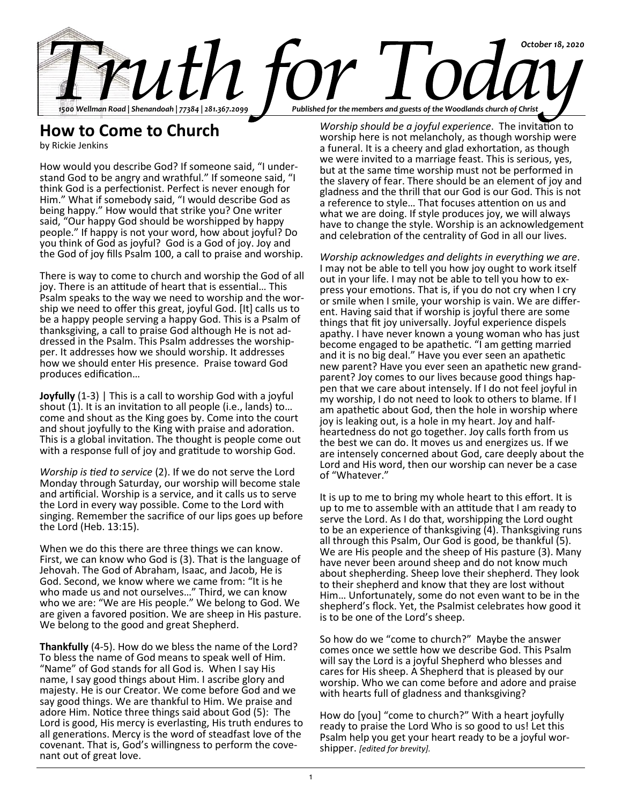

## **How to Come to Church**

by Rickie Jenkins

How would you describe God? If someone said, "I understand God to be angry and wrathful." If someone said, "I think God is a perfectionist. Perfect is never enough for Him." What if somebody said, "I would describe God as being happy." How would that strike you? One writer said, "Our happy God should be worshipped by happy people." If happy is not your word, how about joyful? Do you think of God as joyful? God is a God of joy. Joy and the God of joy fills Psalm 100, a call to praise and worship.

There is way to come to church and worship the God of all joy. There is an attitude of heart that is essential… This Psalm speaks to the way we need to worship and the worship we need to offer this great, joyful God. [It] calls us to be a happy people serving a happy God. This is a Psalm of thanksgiving, a call to praise God although He is not addressed in the Psalm. This Psalm addresses the worshipper. It addresses how we should worship. It addresses how we should enter His presence. Praise toward God produces edification…

**Joyfully** (1-3) | This is a call to worship God with a joyful shout (1). It is an invitation to all people (i.e., lands) to… come and shout as the King goes by. Come into the court and shout joyfully to the King with praise and adoration. This is a global invitation. The thought is people come out with a response full of joy and gratitude to worship God.

*Worship is tied to service* (2). If we do not serve the Lord Monday through Saturday, our worship will become stale and artificial. Worship is a service, and it calls us to serve the Lord in every way possible. Come to the Lord with singing. Remember the sacrifice of our lips goes up before the Lord (Heb. 13:15).

When we do this there are three things we can know. First, we can know who God is (3). That is the language of Jehovah. The God of Abraham, Isaac, and Jacob, He is God. Second, we know where we came from: "It is he who made us and not ourselves…" Third, we can know who we are: "We are His people." We belong to God. We are given a favored position. We are sheep in His pasture. We belong to the good and great Shepherd.

**Thankfully** (4-5). How do we bless the name of the Lord? To bless the name of God means to speak well of Him. "Name" of God stands for all God is. When I say His name, I say good things about Him. I ascribe glory and majesty. He is our Creator. We come before God and we say good things. We are thankful to Him. We praise and adore Him. Notice three things said about God (5): The Lord is good, His mercy is everlasting, His truth endures to all generations. Mercy is the word of steadfast love of the covenant. That is, God's willingness to perform the covenant out of great love.

*Worship should be a joyful experience*. The invitation to worship here is not melancholy, as though worship were a funeral. It is a cheery and glad exhortation, as though we were invited to a marriage feast. This is serious, yes, but at the same time worship must not be performed in the slavery of fear. There should be an element of joy and gladness and the thrill that our God is our God. This is not a reference to style… That focuses attention on us and what we are doing. If style produces joy, we will always have to change the style. Worship is an acknowledgement and celebration of the centrality of God in all our lives.

*Worship acknowledges and delights in everything we are*. I may not be able to tell you how joy ought to work itself out in your life. I may not be able to tell you how to express your emotions. That is, if you do not cry when I cry or smile when I smile, your worship is vain. We are different. Having said that if worship is joyful there are some things that fit joy universally. Joyful experience dispels apathy. I have never known a young woman who has just become engaged to be apathetic. "I am getting married and it is no big deal." Have you ever seen an apathetic new parent? Have you ever seen an apathetic new grandparent? Joy comes to our lives because good things happen that we care about intensely. If I do not feel joyful in my worship, I do not need to look to others to blame. If I am apathetic about God, then the hole in worship where joy is leaking out, is a hole in my heart. Joy and halfheartedness do not go together. Joy calls forth from us the best we can do. It moves us and energizes us. If we are intensely concerned about God, care deeply about the Lord and His word, then our worship can never be a case of "Whatever."

It is up to me to bring my whole heart to this effort. It is up to me to assemble with an attitude that I am ready to serve the Lord. As I do that, worshipping the Lord ought to be an experience of thanksgiving (4). Thanksgiving runs all through this Psalm, Our God is good, be thankful (5). We are His people and the sheep of His pasture (3). Many have never been around sheep and do not know much about shepherding. Sheep love their shepherd. They look to their shepherd and know that they are lost without Him… Unfortunately, some do not even want to be in the shepherd's flock. Yet, the Psalmist celebrates how good it is to be one of the Lord's sheep.

So how do we "come to church?" Maybe the answer comes once we settle how we describe God. This Psalm will say the Lord is a joyful Shepherd who blesses and cares for His sheep. A Shepherd that is pleased by our worship. Who we can come before and adore and praise with hearts full of gladness and thanksgiving?

How do [you] "come to church?" With a heart joyfully ready to praise the Lord Who is so good to us! Let this Psalm help you get your heart ready to be a joyful worshipper. *[edited for brevity].*